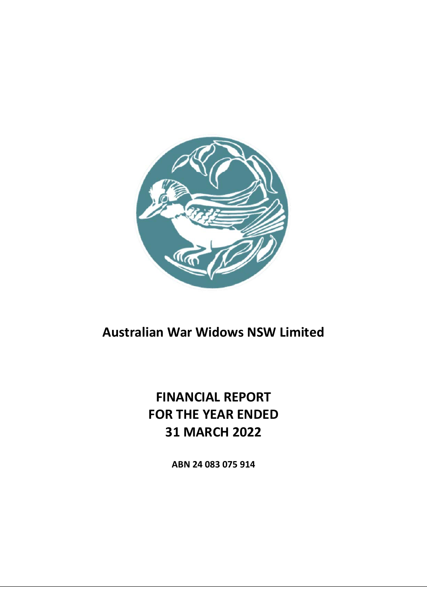

# **Australian War Widows NSW Limited**

# **FINANCIAL REPORT FOR THE YEAR ENDED 31 MARCH 2022**

**ABN 24 083 075 914**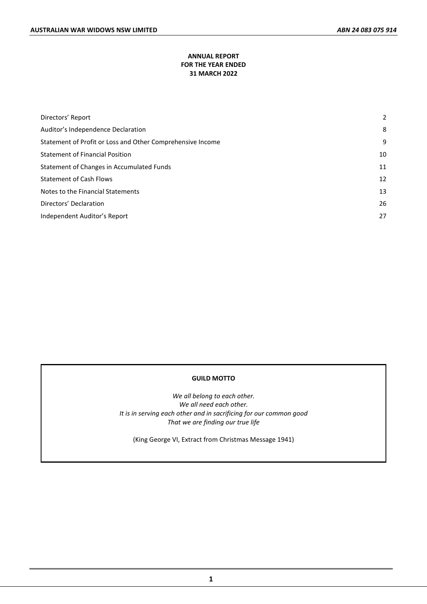#### **ANNUAL REPORT FOR THE YEAR ENDED 31 MARCH 2022**

| Directors' Report                                          | 2  |
|------------------------------------------------------------|----|
| Auditor's Independence Declaration                         | 8  |
| Statement of Profit or Loss and Other Comprehensive Income | 9  |
| <b>Statement of Financial Position</b>                     | 10 |
| Statement of Changes in Accumulated Funds                  | 11 |
| <b>Statement of Cash Flows</b>                             | 12 |
| Notes to the Financial Statements                          | 13 |
| Directors' Declaration                                     | 26 |
| Independent Auditor's Report                               | 27 |

#### **GUILD MOTTO**

*We all belong to each other. We all need each other. It is in serving each other and in sacrificing for our common good That we are finding our true life* 

(King George VI, Extract from Christmas Message 1941)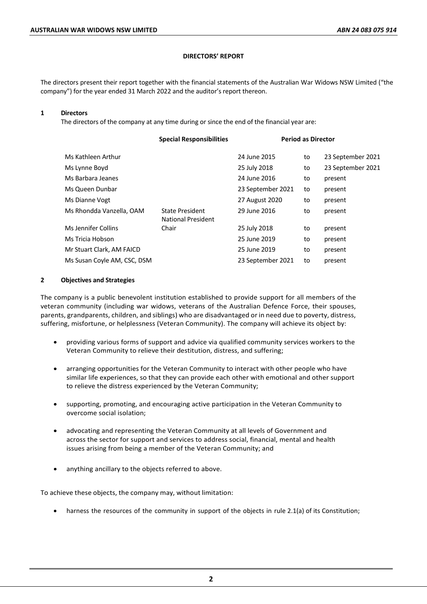#### **DIRECTORS' REPORT**

The directors present their report together with the financial statements of the Australian War Widows NSW Limited ("the company") for the year ended 31 March 2022 and the auditor's report thereon.

#### **1 Directors**

The directors of the company at any time during or since the end of the financial year are:

|                             | <b>Special Responsibilities</b>       |                   | <b>Period as Director</b> |                   |
|-----------------------------|---------------------------------------|-------------------|---------------------------|-------------------|
| Ms Kathleen Arthur          |                                       | 24 June 2015      | to                        | 23 September 2021 |
| Ms Lynne Boyd               |                                       | 25 July 2018      | to                        | 23 September 2021 |
| Ms Barbara Jeanes           |                                       | 24 June 2016      | to                        | present           |
| Ms Queen Dunbar             |                                       | 23 September 2021 | to                        | present           |
| Ms Dianne Vogt              |                                       | 27 August 2020    | to                        | present           |
| Ms Rhondda Vanzella, OAM    | State President<br>National President | 29 June 2016      | to                        | present           |
| Ms Jennifer Collins         | Chair                                 | 25 July 2018      | to                        | present           |
| Ms Tricia Hobson            |                                       | 25 June 2019      | to                        | present           |
| Mr Stuart Clark, AM FAICD   |                                       | 25 June 2019      | to                        | present           |
| Ms Susan Coyle AM, CSC, DSM |                                       | 23 September 2021 | to                        | present           |

#### **2 Objectives and Strategies**

The company is a public benevolent institution established to provide support for all members of the veteran community (including war widows, veterans of the Australian Defence Force, their spouses, parents, grandparents, children, and siblings) who are disadvantaged or in need due to poverty, distress, suffering, misfortune, or helplessness (Veteran Community). The company will achieve its object by:

- providing various forms of support and advice via qualified community services workers to the Veteran Community to relieve their destitution, distress, and suffering;
- arranging opportunities for the Veteran Community to interact with other people who have similar life experiences, so that they can provide each other with emotional and other support to relieve the distress experienced by the Veteran Community;
- supporting, promoting, and encouraging active participation in the Veteran Community to overcome social isolation;
- advocating and representing the Veteran Community at all levels of Government and across the sector for support and services to address social, financial, mental and health issues arising from being a member of the Veteran Community; and
- anything ancillary to the objects referred to above.

To achieve these objects, the company may, without limitation:

harness the resources of the community in support of the objects in rule 2.1(a) of its Constitution;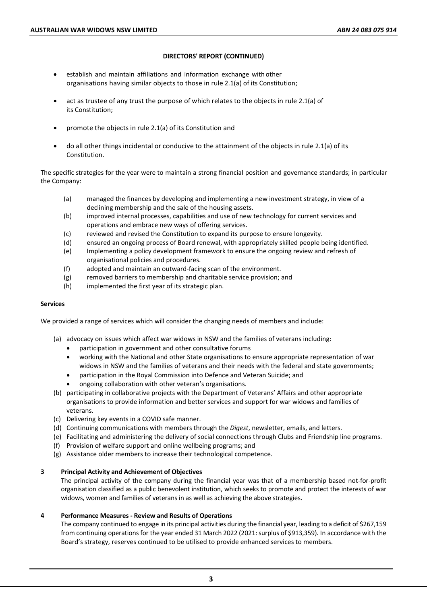- establish and maintain affiliations and information exchange with other organisations having similar objects to those in rule 2.1(a) of its Constitution;
- act as trustee of any trust the purpose of which relates to the objects in rule 2.1(a) of its Constitution;
- promote the objects in rule 2.1(a) of its Constitution and
- do all other things incidental or conducive to the attainment of the objects in rule 2.1(a) of its Constitution.

The specific strategies for the year were to maintain a strong financial position and governance standards; in particular the Company:

- (a) managed the finances by developing and implementing a new investment strategy, in view of a declining membership and the sale of the housing assets.
- (b) improved internal processes, capabilities and use of new technology for current services and operations and embrace new ways of offering services.
- (c) reviewed and revised the Constitution to expand its purpose to ensure longevity.
- (d) ensured an ongoing process of Board renewal, with appropriately skilled people being identified.
- (e) Implementing a policy development framework to ensure the ongoing review and refresh of organisational policies and procedures.
- (f) adopted and maintain an outward-facing scan of the environment.
- (g) removed barriers to membership and charitable service provision; and
- (h) implemented the first year of its strategic plan.

#### **Services**

We provided a range of services which will consider the changing needs of members and include:

- (a) advocacy on issues which affect war widows in NSW and the families of veterans including:
	- participation in government and other consultative forums
	- working with the National and other State organisations to ensure appropriate representation of war widows in NSW and the families of veterans and their needs with the federal and state governments;
	- participation in the Royal Commission into Defence and Veteran Suicide; and
	- ongoing collaboration with other veteran's organisations.
- (b) participating in collaborative projects with the Department of Veterans' Affairs and other appropriate organisations to provide information and better services and support for war widows and families of veterans.
- (c) Delivering key events in a COVID safe manner.
- (d) Continuing communications with members through the *Digest*, newsletter, emails, and letters.
- (e) Facilitating and administering the delivery of social connections through Clubs and Friendship line programs.
- (f) Provision of welfare support and online wellbeing programs; and
- (g) Assistance older members to increase their technological competence.

#### **3 Principal Activity and Achievement of Objectives**

The principal activity of the company during the financial year was that of a membership based not-for-profit organisation classified as a public benevolent institution, which seeks to promote and protect the interests of war widows, women and families of veterans in as well as achieving the above strategies.

#### **4 Performance Measures - Review and Results of Operations**

The company continued to engage in its principal activities during the financial year, leading to a deficit of \$267,159 from continuing operations for the year ended 31 March 2022 (2021: surplus of \$913,359). In accordance with the Board's strategy, reserves continued to be utilised to provide enhanced services to members.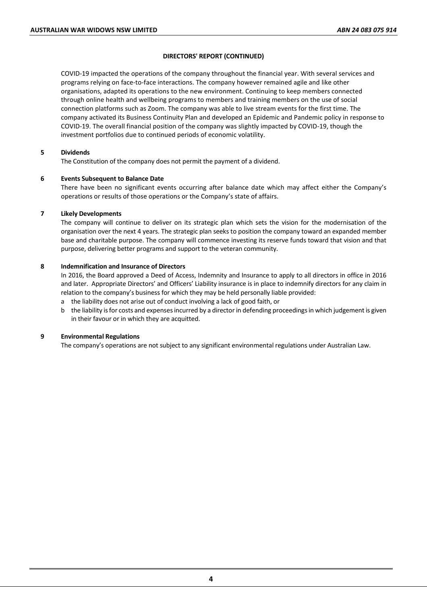COVID-19 impacted the operations of the company throughout the financial year. With several services and programs relying on face-to-face interactions. The company however remained agile and like other organisations, adapted its operations to the new environment. Continuing to keep members connected through online health and wellbeing programs to members and training members on the use of social connection platforms such as Zoom. The company was able to live stream events for the first time. The company activated its Business Continuity Plan and developed an Epidemic and Pandemic policy in response to COVID-19. The overall financial position of the company was slightly impacted by COVID-19, though the investment portfolios due to continued periods of economic volatility.

#### **5 Dividends**

The Constitution of the company does not permit the payment of a dividend.

#### **6 Events Subsequent to Balance Date**

There have been no significant events occurring after balance date which may affect either the Company's operations or results of those operations or the Company's state of affairs.

#### **7 Likely Developments**

The company will continue to deliver on its strategic plan which sets the vision for the modernisation of the organisation over the next 4 years. The strategic plan seeks to position the company toward an expanded member base and charitable purpose. The company will commence investing its reserve funds toward that vision and that purpose, delivering better programs and support to the veteran community.

#### **8 Indemnification and Insurance of Directors**

In 2016, the Board approved a Deed of Access, Indemnity and Insurance to apply to all directors in office in 2016 and later. Appropriate Directors' and Officers' Liability insurance is in place to indemnify directors for any claim in relation to the company's business for which they may be held personally liable provided:

- a the liability does not arise out of conduct involving a lack of good faith, or
- b the liability is for costs and expenses incurred by a director in defending proceedings in which judgement is given in their favour or in which they are acquitted.

#### **9 Environmental Regulations**

The company's operations are not subject to any significant environmental regulations under Australian Law.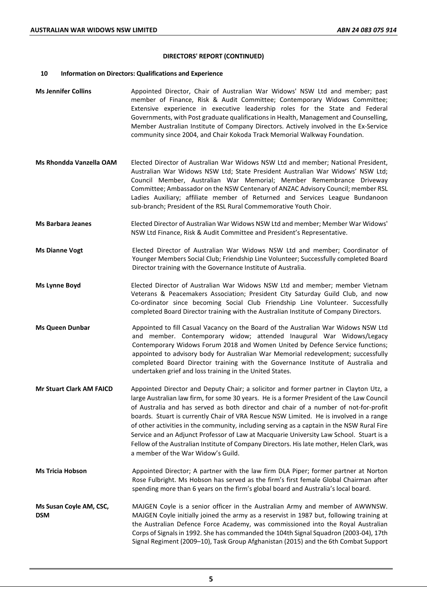#### **10 Information on Directors: Qualifications and Experience**

- **Ms Jennifer Collins** Appointed Director, Chair of Australian War Widows' NSW Ltd and member; past member of Finance, Risk & Audit Committee; Contemporary Widows Committee; Extensive experience in executive leadership roles for the State and Federal Governments, with Post graduate qualifications in Health, Management and Counselling, Member Australian Institute of Company Directors. Actively involved in the Ex-Service community since 2004, and Chair Kokoda Track Memorial Walkway Foundation.
- **Ms Rhondda Vanzella OAM** Elected Director of Australian War Widows NSW Ltd and member; National President, Australian War Widows NSW Ltd; State President Australian War Widows' NSW Ltd; Council Member, Australian War Memorial; Member Remembrance Driveway Committee; Ambassador on the NSW Centenary of ANZAC Advisory Council; member RSL Ladies Auxiliary; affiliate member of Returned and Services League Bundanoon sub-branch; President of the RSL Rural Commemorative Youth Choir.
- **Ms Barbara Jeanes** Elected Director of Australian War Widows NSW Ltd and member; Member War Widows' NSW Ltd Finance, Risk & Audit Committee and President's Representative.
- **Ms Dianne Vogt** Elected Director of Australian War Widows NSW Ltd and member; Coordinator of Younger Members Social Club; Friendship Line Volunteer; Successfully completed Board Director training with the Governance Institute of Australia.
- **Ms Lynne Boyd** Elected Director of Australian War Widows NSW Ltd and member; member Vietnam Veterans & Peacemakers Association; President City Saturday Guild Club, and now Co-ordinator since becoming Social Club Friendship Line Volunteer. Successfully completed Board Director training with the Australian Institute of Company Directors.
- **Ms Queen Dunbar** Appointed to fill Casual Vacancy on the Board of the Australian War Widows NSW Ltd and member. Contemporary widow; attended Inaugural War Widows/Legacy Contemporary Widows Forum 2018 and Women United by Defence Service functions; appointed to advisory body for Australian War Memorial redevelopment; successfully completed Board Director training with the Governance Institute of Australia and undertaken grief and loss training in the United States.
- **Mr Stuart Clark AM FAICD** Appointed Director and Deputy Chair; a solicitor and former partner in Clayton Utz, a large Australian law firm, for some 30 years. He is a former President of the Law Council of Australia and has served as both director and chair of a number of not-for-profit boards. Stuart is currently Chair of VRA Rescue NSW Limited. He is involved in a range of other activities in the community, including serving as a captain in the NSW Rural Fire Service and an Adjunct Professor of Law at Macquarie University Law School. Stuart is a Fellow of the Australian Institute of Company Directors. His late mother, Helen Clark, was a member of the War Widow's Guild.
- **Ms Tricia Hobson** Appointed Director; A partner with the law firm DLA Piper; former partner at Norton Rose Fulbright. Ms Hobson has served as the firm's first female Global Chairman after spending more than 6 years on the firm's global board and Australia's local board.
- **Ms Susan Coyle AM, CSC, DSM**  MAJGEN Coyle is a senior officer in the Australian Army and member of AWWNSW. MAJGEN Coyle initially joined the army as a reservist in 1987 but, following training at the Australian Defence Force Academy, was commissioned into the Royal Australian Corps of Signals in 1992. She has commanded the 104th Signal Squadron (2003-04), 17th Signal Regiment (2009–10), Task Group Afghanistan (2015) and the 6th Combat Support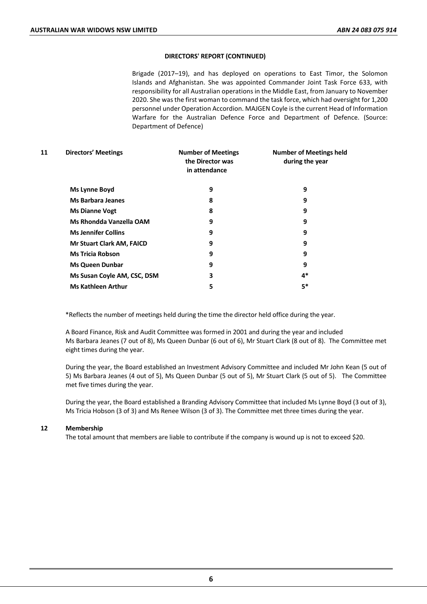Brigade (2017–19), and has deployed on operations to East Timor, the Solomon Islands and Afghanistan. She was appointed Commander Joint Task Force 633, with responsibility for all Australian operations in the Middle East, from January to November 2020. She was the first woman to command the task force, which had oversight for 1,200 personnel under Operation Accordion. MAJGEN Coyle is the current Head of Information Warfare for the Australian Defence Force and Department of Defence. (Source: Department of Defence)

| 9<br>Ms Lynne Boyd<br>9<br><b>Ms Barbara Jeanes</b><br>8<br>9<br>8<br>9<br><b>Ms Dianne Vogt</b><br>Ms Rhondda Vanzella OAM<br>9<br>9<br><b>Ms Jennifer Collins</b><br>9<br>9<br>9<br><b>Mr Stuart Clark AM, FAICD</b><br>9<br><b>Ms Tricia Robson</b><br>9<br>9<br>9<br>9<br><b>Ms Queen Dunbar</b><br>4*<br>Ms Susan Coyle AM, CSC, DSM<br>3<br>$5*$<br>5<br><b>Ms Kathleen Arthur</b> | 11 | <b>Directors' Meetings</b> | <b>Number of Meetings</b><br>the Director was<br>in attendance | <b>Number of Meetings held</b><br>during the year |
|------------------------------------------------------------------------------------------------------------------------------------------------------------------------------------------------------------------------------------------------------------------------------------------------------------------------------------------------------------------------------------------|----|----------------------------|----------------------------------------------------------------|---------------------------------------------------|
|                                                                                                                                                                                                                                                                                                                                                                                          |    |                            |                                                                |                                                   |
|                                                                                                                                                                                                                                                                                                                                                                                          |    |                            |                                                                |                                                   |
|                                                                                                                                                                                                                                                                                                                                                                                          |    |                            |                                                                |                                                   |
|                                                                                                                                                                                                                                                                                                                                                                                          |    |                            |                                                                |                                                   |
|                                                                                                                                                                                                                                                                                                                                                                                          |    |                            |                                                                |                                                   |
|                                                                                                                                                                                                                                                                                                                                                                                          |    |                            |                                                                |                                                   |
|                                                                                                                                                                                                                                                                                                                                                                                          |    |                            |                                                                |                                                   |
|                                                                                                                                                                                                                                                                                                                                                                                          |    |                            |                                                                |                                                   |
|                                                                                                                                                                                                                                                                                                                                                                                          |    |                            |                                                                |                                                   |
|                                                                                                                                                                                                                                                                                                                                                                                          |    |                            |                                                                |                                                   |

\*Reflects the number of meetings held during the time the director held office during the year.

A Board Finance, Risk and Audit Committee was formed in 2001 and during the year and included Ms Barbara Jeanes (7 out of 8), Ms Queen Dunbar (6 out of 6), Mr Stuart Clark (8 out of 8). The Committee met eight times during the year.

During the year, the Board established an Investment Advisory Committee and included Mr John Kean (5 out of 5) Ms Barbara Jeanes (4 out of 5), Ms Queen Dunbar (5 out of 5), Mr Stuart Clark (5 out of 5). The Committee met five times during the year.

During the year, the Board established a Branding Advisory Committee that included Ms Lynne Boyd (3 out of 3), Ms Tricia Hobson (3 of 3) and Ms Renee Wilson (3 of 3). The Committee met three times during the year.

#### **12 Membership**

The total amount that members are liable to contribute if the company is wound up is not to exceed \$20.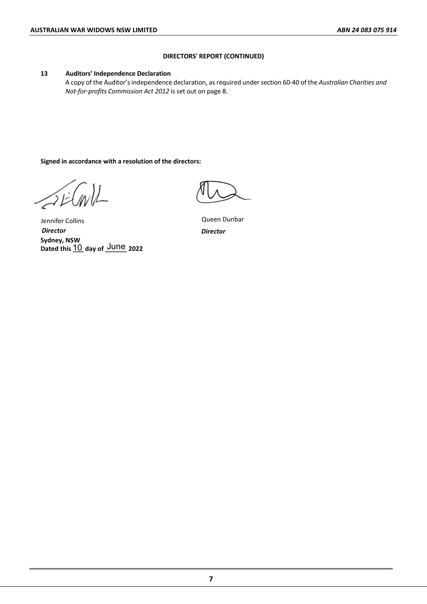#### **13 Auditors' Independence Declaration**

A copy of the Auditor's independence declaration, as required under section 60-40 of the *Australian Charities and Not-for-profits Commission Act 2012* is set out on page 8.

**Signed in accordance with a resolution of the directors:** 

*Director* **Sydney, NSW**  Dated this  $10$  day of  $\frac{\text{June}}{\text{2022}}$ Queen Dunbar Jennifer Collins

*Director*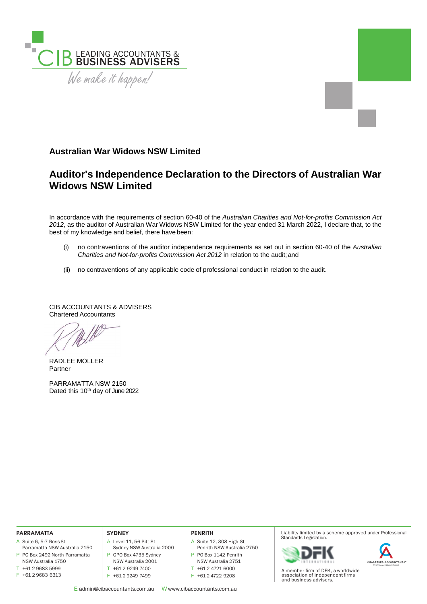

### **Australian War Widows NSW Limited**

## **Auditor's Independence Declaration to the Directors of Australian War Widows NSW Limited**

In accordance with the requirements of section 60-40 of the *Australian Charities and Not-for-profits Commission Act 2012*, as the auditor of Australian War Widows NSW Limited for the year ended 31 March 2022, I declare that, to the best of my knowledge and belief, there have been:

- (i) no contraventions of the auditor independence requirements as set out in section 60-40 of the *Australian Charities and Not-for-profits Commission Act 2012* in relation to the audit; and
- (ii) no contraventions of any applicable code of professional conduct in relation to the audit.

CIB ACCOUNTANTS & ADVISERS Chartered Accountants

RADLEE MOLLER Partner

PARRAMATTA NSW 2150 Dated this 10<sup>th</sup> day of June 2022

#### **PARRAMATTA**

- A Suite 6, 5-7 Ross St
- Parramatta NSW Australia 2150
- P PO Box 2492 North Parramatta NSW Australia 1750
- T +61 2 9683 5999 F +61 2 9683 6313

# NSW Australia 2001

**SYDNEY**

- T +61 2 9249 7400
	- F +61 2 9249 7499

A Level 11, 56 Pitt St Sydney NSW Australia 2000 P GPO Box 4735 Sydney

#### **PENRITH**

- A Suite 12, 308 High St
- Penrith NSW Australia 2750 P PO Box 1142 Penrith
- NSW Australia 2751
- T +61 2 4721 6000
- F +61 2 4722 9208

E admin@cibaccountants.com.au W www.cibaccountants.com.au

#### Liability limited by a scheme approved under Professional Standards Legislation.





A member firm of DFK, a worldwide association of independent firms and business advisers.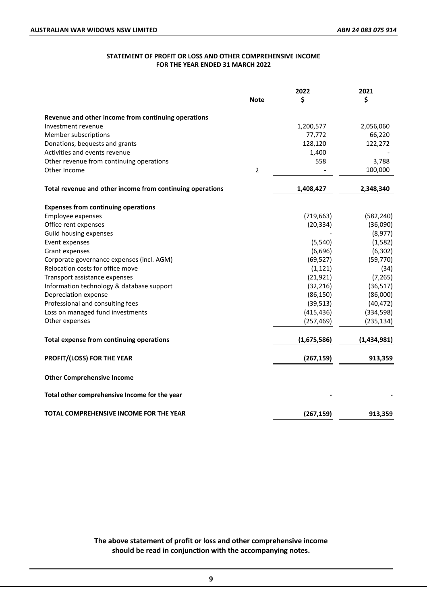#### **STATEMENT OF PROFIT OR LOSS AND OTHER COMPREHENSIVE INCOME FOR THE YEAR ENDED 31 MARCH 2022**

|                                                           |                | 2022        | 2021        |
|-----------------------------------------------------------|----------------|-------------|-------------|
|                                                           | <b>Note</b>    | \$          | \$          |
| Revenue and other income from continuing operations       |                |             |             |
| Investment revenue                                        |                | 1,200,577   | 2,056,060   |
| Member subscriptions                                      |                | 77,772      | 66,220      |
| Donations, bequests and grants                            |                | 128,120     | 122,272     |
| Activities and events revenue                             |                | 1,400       |             |
| Other revenue from continuing operations                  |                | 558         | 3,788       |
| Other Income                                              | $\overline{2}$ |             | 100,000     |
| Total revenue and other income from continuing operations |                | 1,408,427   | 2,348,340   |
| <b>Expenses from continuing operations</b>                |                |             |             |
| Employee expenses                                         |                | (719, 663)  | (582, 240)  |
| Office rent expenses                                      |                | (20, 334)   | (36,090)    |
| Guild housing expenses                                    |                |             | (8,977)     |
| Event expenses                                            |                | (5,540)     | (1, 582)    |
| Grant expenses                                            |                | (6,696)     | (6, 302)    |
| Corporate governance expenses (incl. AGM)                 |                | (69, 527)   | (59, 770)   |
| Relocation costs for office move                          |                | (1, 121)    | (34)        |
| Transport assistance expenses                             |                | (21, 921)   | (7, 265)    |
| Information technology & database support                 |                | (32, 216)   | (36, 517)   |
| Depreciation expense                                      |                | (86, 150)   | (86,000)    |
| Professional and consulting fees                          |                | (39, 513)   | (40, 472)   |
| Loss on managed fund investments                          |                | (415, 436)  | (334, 598)  |
| Other expenses                                            |                | (257, 469)  | (235, 134)  |
| Total expense from continuing operations                  |                | (1,675,586) | (1,434,981) |
| PROFIT/(LOSS) FOR THE YEAR                                |                | (267, 159)  | 913,359     |
| <b>Other Comprehensive Income</b>                         |                |             |             |
| Total other comprehensive Income for the year             |                |             |             |
| <b>TOTAL COMPREHENSIVE INCOME FOR THE YEAR</b>            |                | (267, 159)  | 913,359     |

**The above statement of profit or loss and other comprehensive income should be read in conjunction with the accompanying notes.**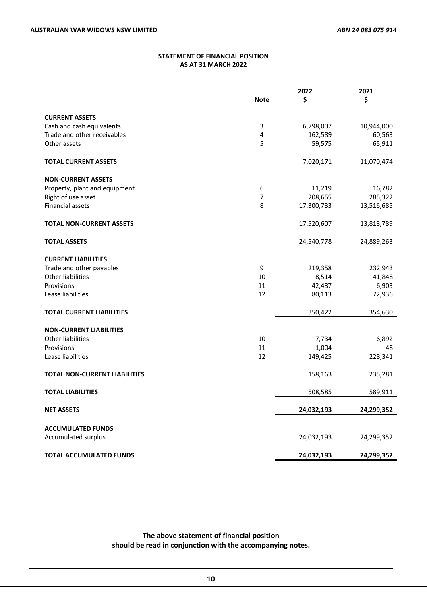### **STATEMENT OF FINANCIAL POSITION AS AT 31 MARCH 2022**

|                                      | <b>Note</b>    | 2022<br>\$ | 2021<br>\$ |
|--------------------------------------|----------------|------------|------------|
|                                      |                |            |            |
| <b>CURRENT ASSETS</b>                |                |            |            |
| Cash and cash equivalents            | 3              | 6,798,007  | 10,944,000 |
| Trade and other receivables          | 4              | 162,589    | 60,563     |
| Other assets                         | 5              | 59,575     | 65,911     |
| <b>TOTAL CURRENT ASSETS</b>          |                | 7,020,171  | 11,070,474 |
| <b>NON-CURRENT ASSETS</b>            |                |            |            |
| Property, plant and equipment        | 6              | 11,219     | 16,782     |
| Right of use asset                   | $\overline{7}$ | 208,655    | 285,322    |
| Financial assets                     | 8              | 17,300,733 | 13,516,685 |
| <b>TOTAL NON-CURRENT ASSETS</b>      |                | 17,520,607 | 13,818,789 |
| <b>TOTAL ASSETS</b>                  |                | 24,540,778 | 24,889,263 |
|                                      |                |            |            |
| <b>CURRENT LIABILITIES</b>           |                |            |            |
| Trade and other payables             | 9              | 219,358    | 232,943    |
| <b>Other liabilities</b>             | 10             | 8,514      | 41,848     |
| Provisions                           | 11             | 42,437     | 6,903      |
| Lease liabilities                    | 12             | 80,113     | 72,936     |
| TOTAL CURRENT LIABILITIES            |                | 350,422    | 354,630    |
| <b>NON-CURRENT LIABILITIES</b>       |                |            |            |
| <b>Other liabilities</b>             | 10             | 7,734      | 6,892      |
| Provisions                           | 11             | 1,004      | 48         |
| Lease liabilities                    | 12             | 149,425    | 228,341    |
| <b>TOTAL NON-CURRENT LIABILITIES</b> |                | 158,163    | 235,281    |
| <b>TOTAL LIABILITIES</b>             |                | 508,585    | 589,911    |
| <b>NET ASSETS</b>                    |                | 24,032,193 | 24,299,352 |
| <b>ACCUMULATED FUNDS</b>             |                |            |            |
| Accumulated surplus                  |                | 24,032,193 | 24,299,352 |
| <b>TOTAL ACCUMULATED FUNDS</b>       |                | 24,032,193 | 24,299,352 |

**The above statement of financial position should be read in conjunction with the accompanying notes.**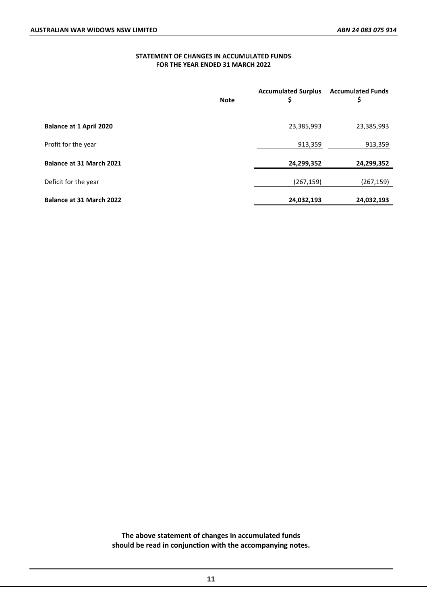#### **STATEMENT OF CHANGES IN ACCUMULATED FUNDS FOR THE YEAR ENDED 31 MARCH 2022**

|                                 | <b>Note</b> | <b>Accumulated Surplus</b><br>\$ | <b>Accumulated Funds</b><br>\$ |
|---------------------------------|-------------|----------------------------------|--------------------------------|
| <b>Balance at 1 April 2020</b>  |             | 23,385,993                       | 23,385,993                     |
| Profit for the year             |             | 913,359                          | 913,359                        |
| Balance at 31 March 2021        |             | 24,299,352                       | 24,299,352                     |
| Deficit for the year            |             | (267, 159)                       | (267, 159)                     |
| <b>Balance at 31 March 2022</b> |             | 24,032,193                       | 24,032,193                     |

**The above statement of changes in accumulated funds should be read in conjunction with the accompanying notes.**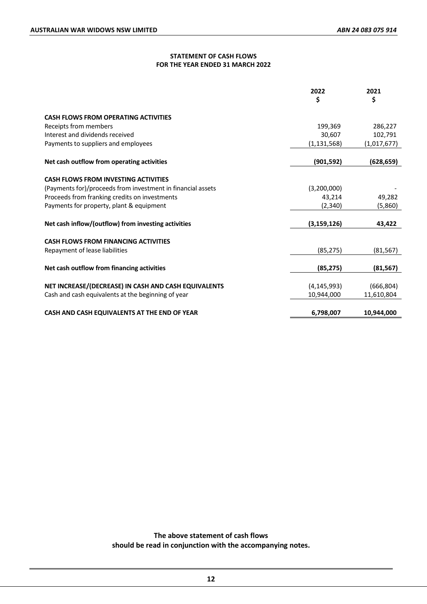#### **STATEMENT OF CASH FLOWS FOR THE YEAR ENDED 31 MARCH 2022**

|                                                             | 2022<br>\$    | 2021<br>\$  |
|-------------------------------------------------------------|---------------|-------------|
| <b>CASH FLOWS FROM OPERATING ACTIVITIES</b>                 |               |             |
| Receipts from members                                       | 199,369       | 286,227     |
| Interest and dividends received                             | 30,607        | 102,791     |
| Payments to suppliers and employees                         | (1, 131, 568) | (1,017,677) |
| Net cash outflow from operating activities                  | (901, 592)    | (628, 659)  |
| <b>CASH FLOWS FROM INVESTING ACTIVITIES</b>                 |               |             |
| (Payments for)/proceeds from investment in financial assets | (3,200,000)   |             |
| Proceeds from franking credits on investments               | 43,214        | 49,282      |
| Payments for property, plant & equipment                    | (2,340)       | (5,860)     |
| Net cash inflow/(outflow) from investing activities         | (3, 159, 126) | 43,422      |
| <b>CASH FLOWS FROM FINANCING ACTIVITIES</b>                 |               |             |
| Repayment of lease liabilities                              | (85, 275)     | (81, 567)   |
| Net cash outflow from financing activities                  | (85, 275)     | (81, 567)   |
| NET INCREASE/(DECREASE) IN CASH AND CASH EQUIVALENTS        | (4, 145, 993) | (666, 804)  |
| Cash and cash equivalents at the beginning of year          | 10,944,000    | 11,610,804  |
| CASH AND CASH EQUIVALENTS AT THE END OF YEAR                | 6,798,007     | 10,944,000  |

**The above statement of cash flows should be read in conjunction with the accompanying notes.**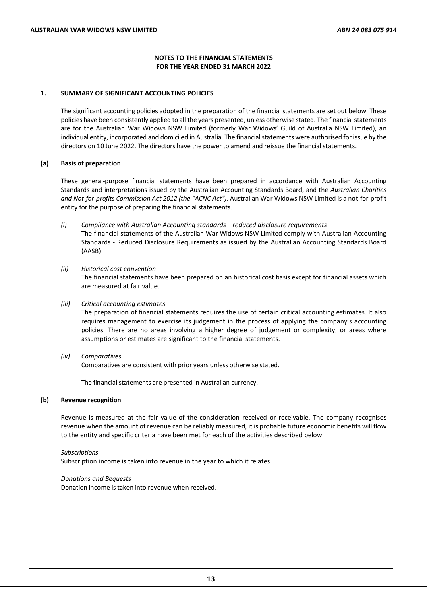#### **NOTES TO THE FINANCIAL STATEMENTS FOR THE YEAR ENDED 31 MARCH 2022**

#### **1. SUMMARY OF SIGNIFICANT ACCOUNTING POLICIES**

The significant accounting policies adopted in the preparation of the financial statements are set out below. These policies have been consistently applied to all the years presented, unless otherwise stated. The financial statements are for the Australian War Widows NSW Limited (formerly War Widows' Guild of Australia NSW Limited), an individual entity, incorporated and domiciled in Australia. The financial statements were authorised for issue by the directors on 10 June 2022. The directors have the power to amend and reissue the financial statements.

#### **(a) Basis of preparation**

These general-purpose financial statements have been prepared in accordance with Australian Accounting Standards and interpretations issued by the Australian Accounting Standards Board, and the *Australian Charities and Not-for-profits Commission Act 2012 (the "ACNC Act").* Australian War Widows NSW Limited is a not-for-profit entity for the purpose of preparing the financial statements.

- *(i) Compliance with Australian Accounting standards reduced disclosure requirements* The financial statements of the Australian War Widows NSW Limited comply with Australian Accounting Standards - Reduced Disclosure Requirements as issued by the Australian Accounting Standards Board (AASB).
- *(ii) Historical cost convention* The financial statements have been prepared on an historical cost basis except for financial assets which are measured at fair value.
- *(iii) Critical accounting estimates*

The preparation of financial statements requires the use of certain critical accounting estimates. It also requires management to exercise its judgement in the process of applying the company's accounting policies. There are no areas involving a higher degree of judgement or complexity, or areas where assumptions or estimates are significant to the financial statements.

*(iv) Comparatives*

Comparatives are consistent with prior years unless otherwise stated.

The financial statements are presented in Australian currency.

#### **(b) Revenue recognition**

Revenue is measured at the fair value of the consideration received or receivable. The company recognises revenue when the amount of revenue can be reliably measured, it is probable future economic benefits will flow to the entity and specific criteria have been met for each of the activities described below.

*Subscriptions* Subscription income is taken into revenue in the year to which it relates.

*Donations and Bequests*

Donation income is taken into revenue when received.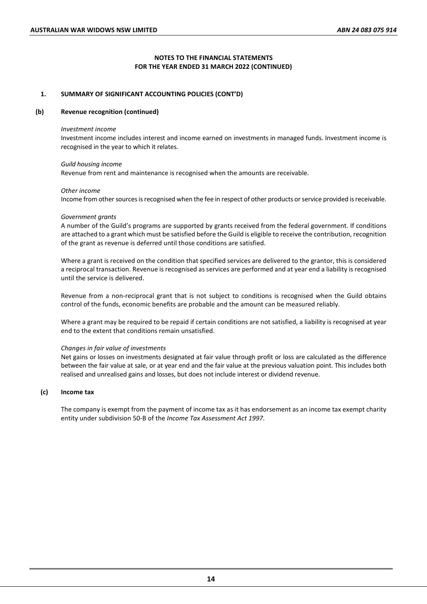#### **1. SUMMARY OF SIGNIFICANT ACCOUNTING POLICIES (CONT'D)**

#### **(b) Revenue recognition (continued)**

#### *Investment income*

Investment income includes interest and income earned on investments in managed funds. Investment income is recognised in the year to which it relates.

#### *Guild housing income*

Revenue from rent and maintenance is recognised when the amounts are receivable.

#### *Other income*

Income from other sources is recognised when the fee in respect of other products or service provided is receivable.

#### *Government grants*

A number of the Guild's programs are supported by grants received from the federal government. If conditions are attached to a grant which must be satisfied before the Guild is eligible to receive the contribution, recognition of the grant as revenue is deferred until those conditions are satisfied.

Where a grant is received on the condition that specified services are delivered to the grantor, this is considered a reciprocal transaction. Revenue is recognised as services are performed and at year end a liability is recognised until the service is delivered.

Revenue from a non-reciprocal grant that is not subject to conditions is recognised when the Guild obtains control of the funds, economic benefits are probable and the amount can be measured reliably.

Where a grant may be required to be repaid if certain conditions are not satisfied, a liability is recognised at year end to the extent that conditions remain unsatisfied.

#### *Changes in fair value of investments*

Net gains or losses on investments designated at fair value through profit or loss are calculated as the difference between the fair value at sale, or at year end and the fair value at the previous valuation point. This includes both realised and unrealised gains and losses, but does not include interest or dividend revenue.

#### **(c) Income tax**

The company is exempt from the payment of income tax as it has endorsement as an income tax exempt charity entity under subdivision 50-B of the *Income Tax Assessment Act 1997*.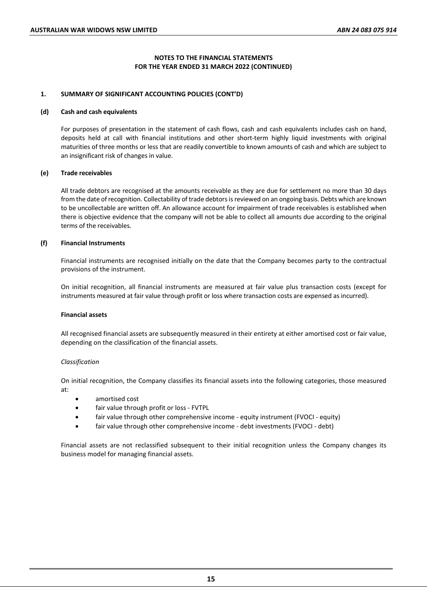#### **1. SUMMARY OF SIGNIFICANT ACCOUNTING POLICIES (CONT'D)**

#### **(d) Cash and cash equivalents**

For purposes of presentation in the statement of cash flows, cash and cash equivalents includes cash on hand, deposits held at call with financial institutions and other short-term highly liquid investments with original maturities of three months or less that are readily convertible to known amounts of cash and which are subject to an insignificant risk of changes in value.

#### **(e) Trade receivables**

All trade debtors are recognised at the amounts receivable as they are due for settlement no more than 30 days from the date of recognition. Collectability of trade debtors is reviewed on an ongoing basis. Debts which are known to be uncollectable are written off. An allowance account for impairment of trade receivables is established when there is objective evidence that the company will not be able to collect all amounts due according to the original terms of the receivables.

#### **(f) Financial Instruments**

Financial instruments are recognised initially on the date that the Company becomes party to the contractual provisions of the instrument.

On initial recognition, all financial instruments are measured at fair value plus transaction costs (except for instruments measured at fair value through profit or loss where transaction costs are expensed as incurred).

#### **Financial assets**

All recognised financial assets are subsequently measured in their entirety at either amortised cost or fair value, depending on the classification of the financial assets.

#### *Classification*

On initial recognition, the Company classifies its financial assets into the following categories, those measured at:

- amortised cost
- fair value through profit or loss FVTPL
- fair value through other comprehensive income equity instrument (FVOCI equity)
- fair value through other comprehensive income debt investments (FVOCI debt)

Financial assets are not reclassified subsequent to their initial recognition unless the Company changes its business model for managing financial assets.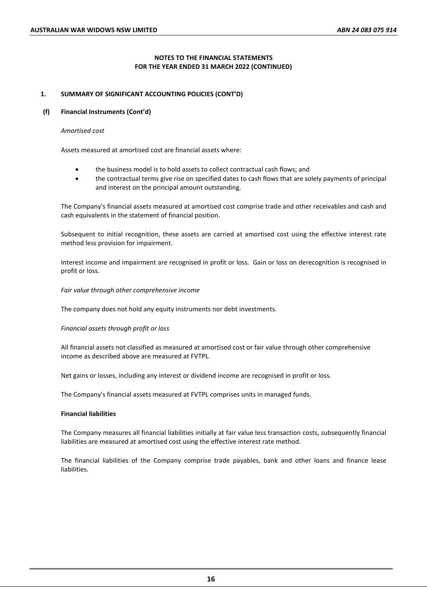#### **1. SUMMARY OF SIGNIFICANT ACCOUNTING POLICIES (CONT'D)**

#### **(f) Financial Instruments (Cont'd)**

#### *Amortised cost*

Assets measured at amortised cost are financial assets where:

- the business model is to hold assets to collect contractual cash flows; and
- the contractual terms give rise on specified dates to cash flows that are solely payments of principal and interest on the principal amount outstanding.

The Company's financial assets measured at amortised cost comprise trade and other receivables and cash and cash equivalents in the statement of financial position.

Subsequent to initial recognition, these assets are carried at amortised cost using the effective interest rate method less provision for impairment.

Interest income and impairment are recognised in profit or loss. Gain or loss on derecognition is recognised in profit or loss.

#### *Fair value through other comprehensive income*

The company does not hold any equity instruments nor debt investments.

#### *Financial assets through profit or loss*

All financial assets not classified as measured at amortised cost or fair value through other comprehensive income as described above are measured at FVTPL.

Net gains or losses, including any interest or dividend income are recognised in profit or loss.

The Company's financial assets measured at FVTPL comprises units in managed funds.

#### **Financial liabilities**

The Company measures all financial liabilities initially at fair value less transaction costs, subsequently financial liabilities are measured at amortised cost using the effective interest rate method.

The financial liabilities of the Company comprise trade payables, bank and other loans and finance lease liabilities.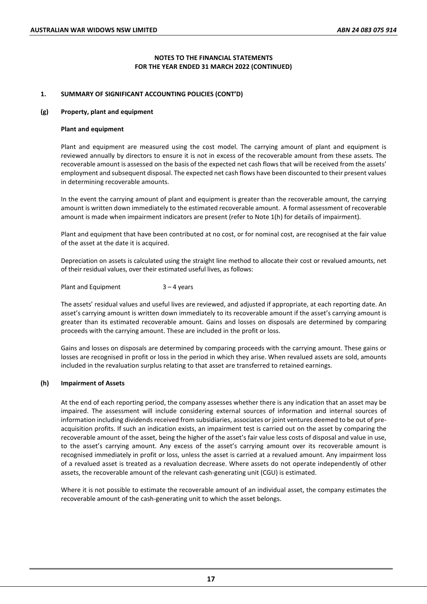#### **1. SUMMARY OF SIGNIFICANT ACCOUNTING POLICIES (CONT'D)**

#### **(g) Property, plant and equipment**

#### **Plant and equipment**

Plant and equipment are measured using the cost model. The carrying amount of plant and equipment is reviewed annually by directors to ensure it is not in excess of the recoverable amount from these assets. The recoverable amount is assessed on the basis of the expected net cash flows that will be received from the assets' employment and subsequent disposal. The expected net cash flows have been discounted to their present values in determining recoverable amounts.

In the event the carrying amount of plant and equipment is greater than the recoverable amount, the carrying amount is written down immediately to the estimated recoverable amount. A formal assessment of recoverable amount is made when impairment indicators are present (refer to Note 1(h) for details of impairment).

Plant and equipment that have been contributed at no cost, or for nominal cost, are recognised at the fair value of the asset at the date it is acquired.

Depreciation on assets is calculated using the straight line method to allocate their cost or revalued amounts, net of their residual values, over their estimated useful lives, as follows:

Plant and Equipment  $3 - 4$  years

The assets' residual values and useful lives are reviewed, and adjusted if appropriate, at each reporting date. An asset's carrying amount is written down immediately to its recoverable amount if the asset's carrying amount is greater than its estimated recoverable amount. Gains and losses on disposals are determined by comparing proceeds with the carrying amount. These are included in the profit or loss.

Gains and losses on disposals are determined by comparing proceeds with the carrying amount. These gains or losses are recognised in profit or loss in the period in which they arise. When revalued assets are sold, amounts included in the revaluation surplus relating to that asset are transferred to retained earnings.

#### **(h) Impairment of Assets**

At the end of each reporting period, the company assesses whether there is any indication that an asset may be impaired. The assessment will include considering external sources of information and internal sources of information including dividends received from subsidiaries, associates or joint ventures deemed to be out of preacquisition profits. If such an indication exists, an impairment test is carried out on the asset by comparing the recoverable amount of the asset, being the higher of the asset's fair value less costs of disposal and value in use, to the asset's carrying amount. Any excess of the asset's carrying amount over its recoverable amount is recognised immediately in profit or loss, unless the asset is carried at a revalued amount. Any impairment loss of a revalued asset is treated as a revaluation decrease. Where assets do not operate independently of other assets, the recoverable amount of the relevant cash-generating unit (CGU) is estimated.

Where it is not possible to estimate the recoverable amount of an individual asset, the company estimates the recoverable amount of the cash-generating unit to which the asset belongs.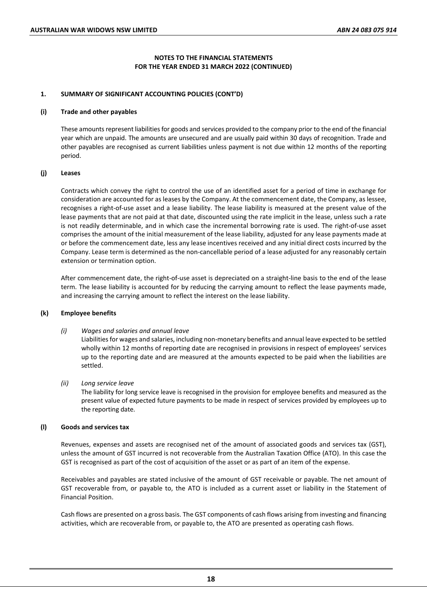#### **1. SUMMARY OF SIGNIFICANT ACCOUNTING POLICIES (CONT'D)**

#### **(i) Trade and other payables**

These amounts represent liabilities for goods and services provided to the company prior to the end of the financial year which are unpaid. The amounts are unsecured and are usually paid within 30 days of recognition. Trade and other payables are recognised as current liabilities unless payment is not due within 12 months of the reporting period.

#### **(j) Leases**

Contracts which convey the right to control the use of an identified asset for a period of time in exchange for consideration are accounted for as leases by the Company. At the commencement date, the Company, as lessee, recognises a right-of-use asset and a lease liability. The lease liability is measured at the present value of the lease payments that are not paid at that date, discounted using the rate implicit in the lease, unless such a rate is not readily determinable, and in which case the incremental borrowing rate is used. The right-of-use asset comprises the amount of the initial measurement of the lease liability, adjusted for any lease payments made at or before the commencement date, less any lease incentives received and any initial direct costs incurred by the Company. Lease term is determined as the non-cancellable period of a lease adjusted for any reasonably certain extension or termination option.

After commencement date, the right-of-use asset is depreciated on a straight-line basis to the end of the lease term. The lease liability is accounted for by reducing the carrying amount to reflect the lease payments made, and increasing the carrying amount to reflect the interest on the lease liability.

#### **(k) Employee benefits**

#### *(i) Wages and salaries and annual leave*

Liabilities for wages and salaries, including non-monetary benefits and annual leave expected to be settled wholly within 12 months of reporting date are recognised in provisions in respect of employees' services up to the reporting date and are measured at the amounts expected to be paid when the liabilities are settled.

#### *(ii) Long service leave*

The liability for long service leave is recognised in the provision for employee benefits and measured as the present value of expected future payments to be made in respect of services provided by employees up to the reporting date.

#### **(l) Goods and services tax**

Revenues, expenses and assets are recognised net of the amount of associated goods and services tax (GST), unless the amount of GST incurred is not recoverable from the Australian Taxation Office (ATO). In this case the GST is recognised as part of the cost of acquisition of the asset or as part of an item of the expense.

Receivables and payables are stated inclusive of the amount of GST receivable or payable. The net amount of GST recoverable from, or payable to, the ATO is included as a current asset or liability in the Statement of Financial Position.

Cash flows are presented on a gross basis. The GST components of cash flows arising from investing and financing activities, which are recoverable from, or payable to, the ATO are presented as operating cash flows.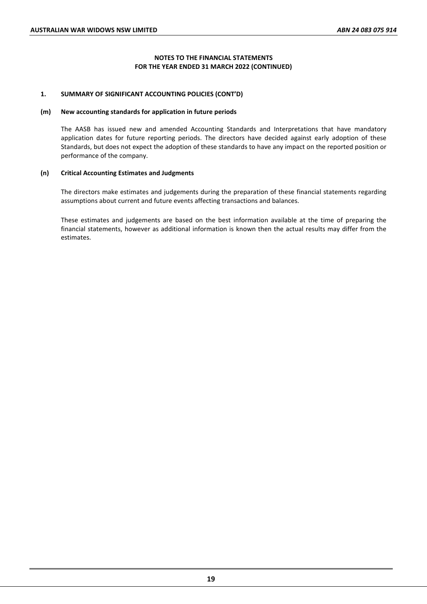#### **1. SUMMARY OF SIGNIFICANT ACCOUNTING POLICIES (CONT'D)**

#### **(m) New accounting standards for application in future periods**

The AASB has issued new and amended Accounting Standards and Interpretations that have mandatory application dates for future reporting periods. The directors have decided against early adoption of these Standards, but does not expect the adoption of these standards to have any impact on the reported position or performance of the company.

#### **(n) Critical Accounting Estimates and Judgments**

The directors make estimates and judgements during the preparation of these financial statements regarding assumptions about current and future events affecting transactions and balances.

These estimates and judgements are based on the best information available at the time of preparing the financial statements, however as additional information is known then the actual results may differ from the estimates.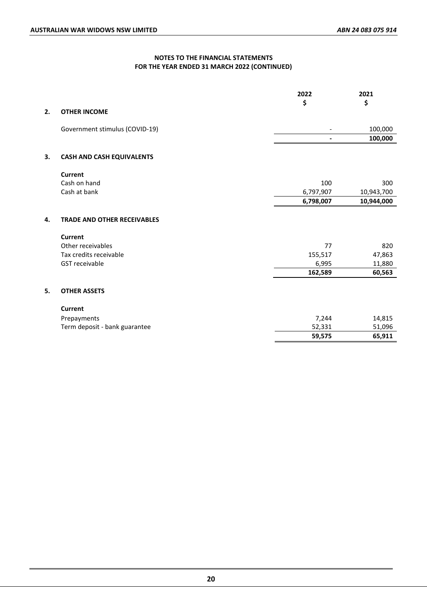|    |                                    | 2022      | 2021       |
|----|------------------------------------|-----------|------------|
|    |                                    | \$        | \$         |
| 2. | <b>OTHER INCOME</b>                |           |            |
|    | Government stimulus (COVID-19)     |           | 100,000    |
|    |                                    |           | 100,000    |
| 3. | <b>CASH AND CASH EQUIVALENTS</b>   |           |            |
|    | <b>Current</b>                     |           |            |
|    | Cash on hand                       | 100       | 300        |
|    | Cash at bank                       | 6,797,907 | 10,943,700 |
|    |                                    | 6,798,007 | 10,944,000 |
| 4. | <b>TRADE AND OTHER RECEIVABLES</b> |           |            |
|    | Current                            |           |            |
|    | Other receivables                  | 77        | 820        |
|    | Tax credits receivable             | 155,517   | 47,863     |
|    | <b>GST receivable</b>              | 6,995     | 11,880     |
|    |                                    | 162,589   | 60,563     |
| 5. | <b>OTHER ASSETS</b>                |           |            |
|    | <b>Current</b>                     |           |            |
|    | Prepayments                        | 7,244     | 14,815     |
|    | Term deposit - bank guarantee      | 52,331    | 51,096     |
|    |                                    | 59,575    | 65,911     |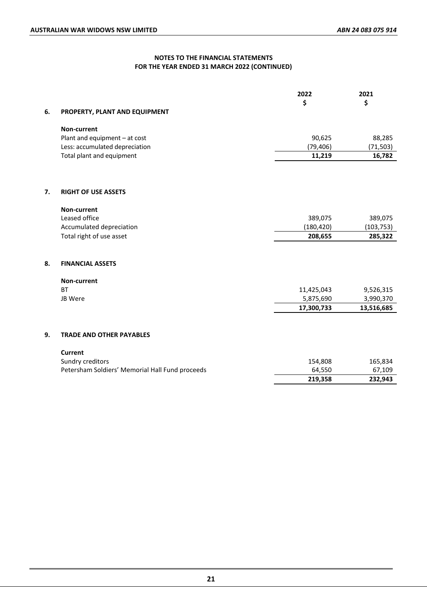|    |                                                 | 2022       | 2021       |
|----|-------------------------------------------------|------------|------------|
|    |                                                 | \$         | \$         |
| 6. | PROPERTY, PLANT AND EQUIPMENT                   |            |            |
|    | Non-current                                     |            |            |
|    | Plant and equipment - at cost                   | 90,625     | 88,285     |
|    | Less: accumulated depreciation                  | (79, 406)  | (71, 503)  |
|    | Total plant and equipment                       | 11,219     | 16,782     |
|    |                                                 |            |            |
| 7. | <b>RIGHT OF USE ASSETS</b>                      |            |            |
|    | Non-current                                     |            |            |
|    | Leased office                                   | 389,075    | 389,075    |
|    | Accumulated depreciation                        | (180, 420) | (103, 753) |
|    | Total right of use asset                        | 208,655    | 285,322    |
| 8. | <b>FINANCIAL ASSETS</b>                         |            |            |
|    | Non-current                                     |            |            |
|    | <b>BT</b>                                       | 11,425,043 | 9,526,315  |
|    | JB Were                                         | 5,875,690  | 3,990,370  |
|    |                                                 | 17,300,733 | 13,516,685 |
| 9. | <b>TRADE AND OTHER PAYABLES</b>                 |            |            |
|    | Current                                         |            |            |
|    | Sundry creditors                                | 154,808    | 165,834    |
|    | Petersham Soldiers' Memorial Hall Fund proceeds | 64,550     | 67,109     |
|    |                                                 | 219,358    | 232,943    |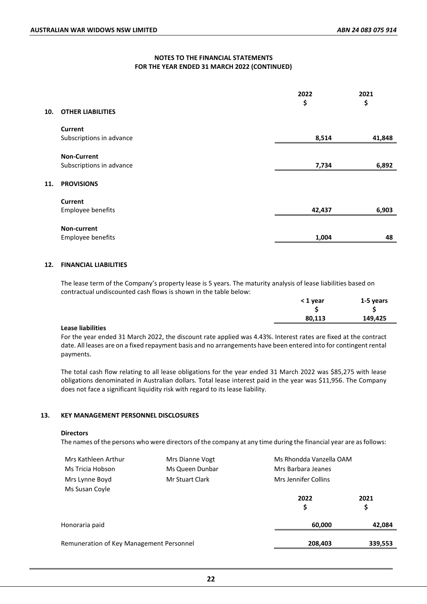| 10. | <b>OTHER LIABILITIES</b> | 2022<br>\$ | 2021<br>\$ |
|-----|--------------------------|------------|------------|
|     | <b>Current</b>           |            |            |
|     | Subscriptions in advance | 8,514      | 41,848     |
|     | <b>Non-Current</b>       |            |            |
|     | Subscriptions in advance | 7,734      | 6,892      |
| 11. | <b>PROVISIONS</b>        |            |            |
|     | Current                  |            |            |
|     | Employee benefits        | 42,437     | 6,903      |
|     | Non-current              |            |            |
|     | Employee benefits        | 1,004      | 48         |

#### **12. FINANCIAL LIABILITIES**

The lease term of the Company's property lease is 5 years. The maturity analysis of lease liabilities based on contractual undiscounted cash flows is shown in the table below:

|                                   | $<$ 1 year | 1-5 years |
|-----------------------------------|------------|-----------|
|                                   |            | -         |
|                                   | 80,113     | 149,425   |
| the color of the field that color |            |           |

#### **Lease liabilities**

For the year ended 31 March 2022, the discount rate applied was 4.43%. Interest rates are fixed at the contract date. All leases are on a fixed repayment basis and no arrangements have been entered into for contingent rental payments.

The total cash flow relating to all lease obligations for the year ended 31 March 2022 was \$85,275 with lease obligations denominated in Australian dollars. Total lease interest paid in the year was \$11,956. The Company does not face a significant liquidity risk with regard to its lease liability.

#### **13. KEY MANAGEMENT PERSONNEL DISCLOSURES**

#### **Directors**

The names of the persons who were directors of the company at any time during the financial year are as follows:

| Mrs Kathleen Arthur                      | Mrs Dianne Vogt | Ms Rhondda Vanzella OAM |         |
|------------------------------------------|-----------------|-------------------------|---------|
| Ms Tricia Hobson                         | Ms Queen Dunbar | Mrs Barbara Jeanes      |         |
| Mrs Lynne Boyd                           | Mr Stuart Clark | Mrs Jennifer Collins    |         |
| Ms Susan Coyle                           |                 |                         |         |
|                                          |                 | 2022                    | 2021    |
|                                          |                 | \$                      | \$      |
| Honoraria paid                           |                 | 60,000                  | 42,084  |
|                                          |                 |                         |         |
| Remuneration of Key Management Personnel |                 | 208,403                 | 339,553 |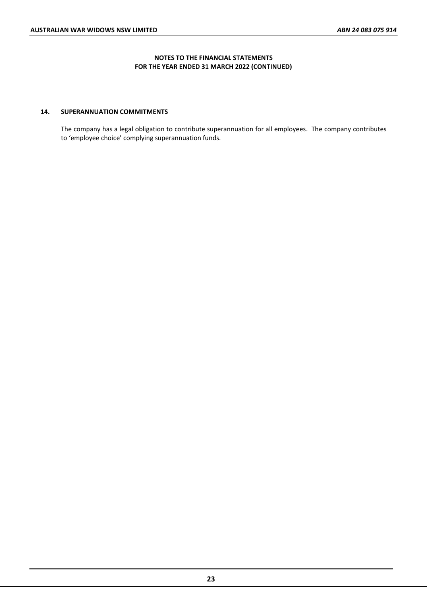### **14. SUPERANNUATION COMMITMENTS**

The company has a legal obligation to contribute superannuation for all employees. The company contributes to 'employee choice' complying superannuation funds.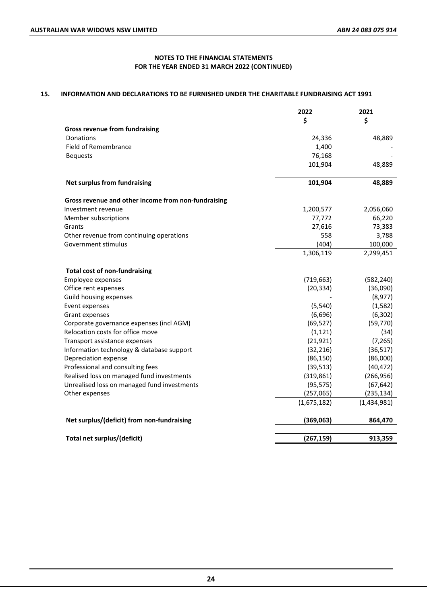#### **15. INFORMATION AND DECLARATIONS TO BE FURNISHED UNDER THE CHARITABLE FUNDRAISING ACT 1991**

|                                                     | 2022        | 2021        |
|-----------------------------------------------------|-------------|-------------|
|                                                     | \$          | \$          |
| <b>Gross revenue from fundraising</b>               |             |             |
| Donations                                           | 24,336      | 48,889      |
| Field of Remembrance                                | 1,400       |             |
| <b>Bequests</b>                                     | 76,168      |             |
|                                                     | 101,904     | 48,889      |
| <b>Net surplus from fundraising</b>                 | 101,904     | 48,889      |
| Gross revenue and other income from non-fundraising |             |             |
| Investment revenue                                  | 1,200,577   | 2,056,060   |
| Member subscriptions                                | 77,772      | 66,220      |
| Grants                                              | 27,616      | 73,383      |
| Other revenue from continuing operations            | 558         | 3,788       |
| Government stimulus                                 | (404)       | 100,000     |
|                                                     | 1,306,119   | 2,299,451   |
| <b>Total cost of non-fundraising</b>                |             |             |
| Employee expenses                                   | (719, 663)  | (582, 240)  |
| Office rent expenses                                | (20, 334)   | (36,090)    |
| Guild housing expenses                              |             | (8,977)     |
| Event expenses                                      | (5, 540)    | (1, 582)    |
| Grant expenses                                      | (6,696)     | (6, 302)    |
| Corporate governance expenses (incl AGM)            | (69, 527)   | (59, 770)   |
| Relocation costs for office move                    | (1, 121)    | (34)        |
| Transport assistance expenses                       | (21, 921)   | (7, 265)    |
| Information technology & database support           | (32, 216)   | (36, 517)   |
| Depreciation expense                                | (86, 150)   | (86,000)    |
| Professional and consulting fees                    | (39, 513)   | (40, 472)   |
| Realised loss on managed fund investments           | (319, 861)  | (266, 956)  |
| Unrealised loss on managed fund investments         | (95, 575)   | (67, 642)   |
| Other expenses                                      | (257,065)   | (235, 134)  |
|                                                     | (1,675,182) | (1,434,981) |
| Net surplus/(deficit) from non-fundraising          | (369,063)   | 864,470     |
| Total net surplus/(deficit)                         | (267, 159)  | 913,359     |
|                                                     |             |             |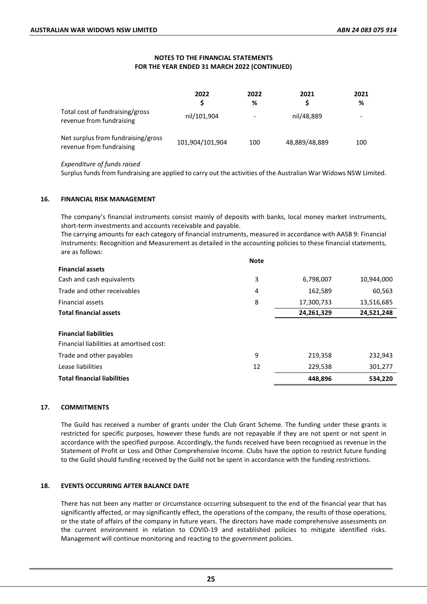|                                                                | 2022<br>S       | 2022<br>%                | 2021          | 2021<br>% |
|----------------------------------------------------------------|-----------------|--------------------------|---------------|-----------|
| Total cost of fundraising/gross<br>revenue from fundraising    | nil/101,904     | $\overline{\phantom{a}}$ | nil/48,889    |           |
| Net surplus from fundraising/gross<br>revenue from fundraising | 101,904/101,904 | 100                      | 48,889/48,889 | 100       |

*Expenditure of funds raised* 

Surplus funds from fundraising are applied to carry out the activities of the Australian War Widows NSW Limited.

#### **16. FINANCIAL RISK MANAGEMENT**

The company's financial instruments consist mainly of deposits with banks, local money market instruments, short-term investments and accounts receivable and payable.

The carrying amounts for each category of financial instruments, measured in accordance with AASB 9: Financial Instruments: Recognition and Measurement as detailed in the accounting policies to these financial statements, are as follows:

|                                          | <b>Note</b> |            |            |
|------------------------------------------|-------------|------------|------------|
| <b>Financial assets</b>                  |             |            |            |
| Cash and cash equivalents                | 3           | 6,798,007  | 10,944,000 |
| Trade and other receivables              | 4           | 162,589    | 60,563     |
| Financial assets                         | 8           | 17,300,733 | 13,516,685 |
| <b>Total financial assets</b>            |             | 24,261,329 | 24,521,248 |
|                                          |             |            |            |
| <b>Financial liabilities</b>             |             |            |            |
| Financial liabilities at amortised cost: |             |            |            |
| Trade and other payables                 | 9           | 219,358    | 232,943    |
| Lease liabilities                        | 12          | 229,538    | 301,277    |
| <b>Total financial liabilities</b>       |             | 448,896    | 534,220    |

#### **17. COMMITMENTS**

The Guild has received a number of grants under the Club Grant Scheme. The funding under these grants is restricted for specific purposes, however these funds are not repayable if they are not spent or not spent in accordance with the specified purpose. Accordingly, the funds received have been recognised as revenue in the Statement of Profit or Loss and Other Comprehensive Income. Clubs have the option to restrict future funding to the Guild should funding received by the Guild not be spent in accordance with the funding restrictions.

#### **18. EVENTS OCCURRING AFTER BALANCE DATE**

There has not been any matter or circumstance occurring subsequent to the end of the financial year that has significantly affected, or may significantly effect, the operations of the company, the results of those operations, or the state of affairs of the company in future years. The directors have made comprehensive assessments on the current environment in relation to COVID-19 and established policies to mitigate identified risks. Management will continue monitoring and reacting to the government policies.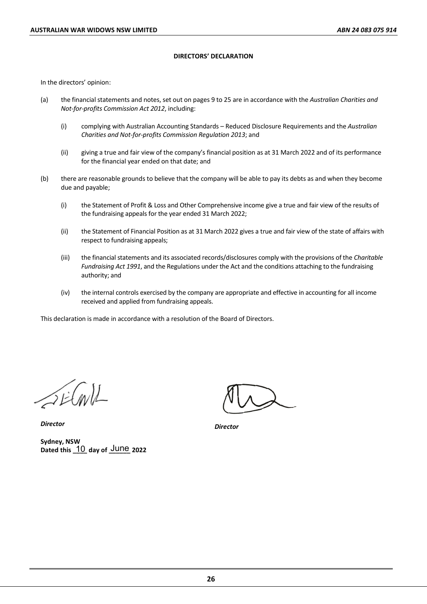#### **DIRECTORS' DECLARATION**

In the directors' opinion:

- (a) the financial statements and notes, set out on pages 9 to 25 are in accordance with the *Australian Charities and Not-for-profits Commission Act 2012*, including:
	- (i) complying with Australian Accounting Standards Reduced Disclosure Requirements and the *Australian Charities and Not-for-profits Commission Regulation 2013*; and
	- (ii) giving a true and fair view of the company's financial position as at 31 March 2022 and of its performance for the financial year ended on that date; and
- (b) there are reasonable grounds to believe that the company will be able to pay its debts as and when they become due and payable;
	- (i) the Statement of Profit & Loss and Other Comprehensive income give a true and fair view of the results of the fundraising appeals for the year ended 31 March 2022;
	- (ii) the Statement of Financial Position as at 31 March 2022 gives a true and fair view of the state of affairs with respect to fundraising appeals;
	- (iii) the financial statements and its associated records/disclosures comply with the provisions of the *Charitable Fundraising Act 1991*, and the Regulations under the Act and the conditions attaching to the fundraising authority; and
	- (iv) the internal controls exercised by the company are appropriate and effective in accounting for all income received and applied from fundraising appeals.

This declaration is made in accordance with a resolution of the Board of Directors.

 $\sum i=1$ 

*Director* 

**Sydney, NSW Dated this 10 day of JUNE 2022** 

*Director*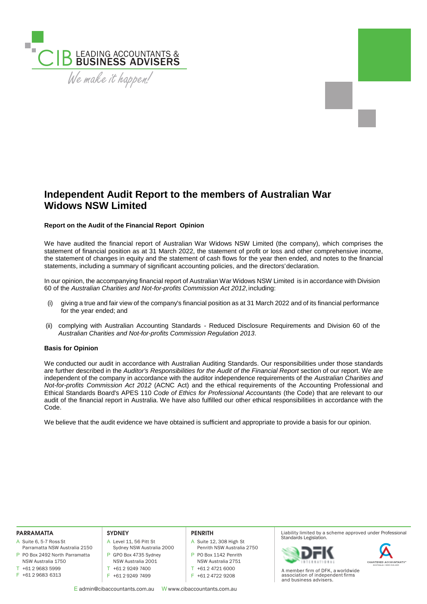

## **Independent Audit Report to the members of Australian War Widows NSW Limited**

#### **Report on the Audit of the Financial Report Opinion**

We have audited the financial report of Australian War Widows NSW Limited (the company), which comprises the statement of financial position as at 31 March 2022, the statement of profit or loss and other comprehensive income, the statement of changes in equity and the statement of cash flows for the year then ended, and notes to the financial statements, including a summary of significant accounting policies, and the directors' declaration.

In our opinion, the accompanying financial report of Australian War Widows NSW Limited is in accordance with Division 60 of the *Australian Charities and Not-for-profits Commission Act 2012*, including:

- (i) giving a true and fair view of the company's financial position as at 31 March 2022 and of its financial performance for the year ended; and
- (ii) complying with Australian Accounting Standards Reduced Disclosure Requirements and Division 60 of the *Australian Charities and Not-for-profits Commission Regulation 2013*.

#### **Basis for Opinion**

We conducted our audit in accordance with Australian Auditing Standards. Our responsibilities under those standards are further described in the *Auditor's Responsibilities for the Audit of the Financial Report* section of our report. We are independent of the company in accordance with the auditor independence requirements of the *Australian Charities and Not-for-profits Commission Act 2012* (ACNC Act) and the ethical requirements of the Accounting Professional and Ethical Standards Board's APES 110 *Code of Ethics for Professional Accountants* (the Code) that are relevant to our audit of the financial report in Australia. We have also fulfilled our other ethical responsibilities in accordance with the Code.

We believe that the audit evidence we have obtained is sufficient and appropriate to provide a basis for our opinion.

#### **PARRAMATTA**

- A Suite 6, 5-7 Ross St
- Parramatta NSW Australia 2150 P PO Box 2492 North Parramatta
- NSW Australia 1750  $T + 61296835999$
- F +61 2 9683 6313

#### **SYDNEY**

- A Level 11, 56 Pitt St Sydney NSW Australia 2000 P GPO Box 4735 Sydney
	- NSW Australia 2001
	- T +61 2 9249 7400
	-

- F +61 2 9249 7499
	-

#### **PENRITH**

- A Suite 12, 308 High St Penrith NSW Australia 2750
- P PO Box 1142 Penrith
- NSW Australia 2751
- T +61 2 4721 6000
- F +61 2 4722 9208

E admin@cibaccountants.com.au W www.cibaccountants.com.au

Liability limited by a scheme approved under Professional Standards Legislation.





A member firm of DFK, a worldwide association of independent firms and business advisers.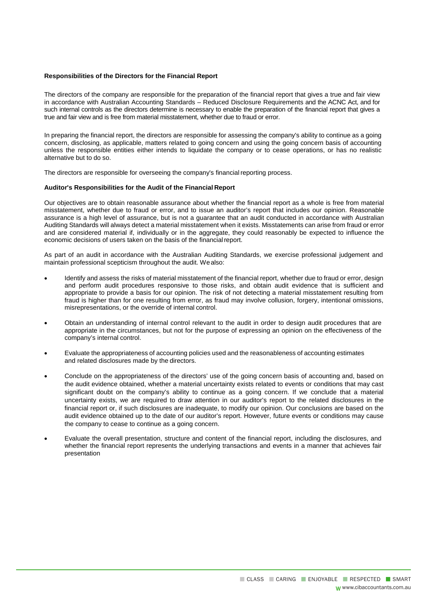#### **Responsibilities of the Directors for the Financial Report**

The directors of the company are responsible for the preparation of the financial report that gives a true and fair view in accordance with Australian Accounting Standards – Reduced Disclosure Requirements and the ACNC Act, and for such internal controls as the directors determine is necessary to enable the preparation of the financial report that gives a true and fair view and is free from material misstatement, whether due to fraud or error.

In preparing the financial report, the directors are responsible for assessing the company's ability to continue as a going concern, disclosing, as applicable, matters related to going concern and using the going concern basis of accounting unless the responsible entities either intends to liquidate the company or to cease operations, or has no realistic alternative but to do so.

The directors are responsible for overseeing the company's financial reporting process.

#### **Auditor's Responsibilities for the Audit of the Financial Report**

Our objectives are to obtain reasonable assurance about whether the financial report as a whole is free from material misstatement, whether due to fraud or error, and to issue an auditor's report that includes our opinion. Reasonable assurance is a high level of assurance, but is not a guarantee that an audit conducted in accordance with Australian Auditing Standards will always detect a material misstatement when it exists. Misstatements can arise from fraud or error and are considered material if, individually or in the aggregate, they could reasonably be expected to influence the economic decisions of users taken on the basis of the financial report.

As part of an audit in accordance with the Australian Auditing Standards, we exercise professional judgement and maintain professional scepticism throughout the audit. We also:

- Identify and assess the risks of material misstatement of the financial report, whether due to fraud or error, design and perform audit procedures responsive to those risks, and obtain audit evidence that is sufficient and appropriate to provide a basis for our opinion. The risk of not detecting a material misstatement resulting from fraud is higher than for one resulting from error, as fraud may involve collusion, forgery, intentional omissions, misrepresentations, or the override of internal control.
- Obtain an understanding of internal control relevant to the audit in order to design audit procedures that are appropriate in the circumstances, but not for the purpose of expressing an opinion on the effectiveness of the company's internal control.
- Evaluate the appropriateness of accounting policies used and the reasonableness of accounting estimates and related disclosures made by the directors.
- Conclude on the appropriateness of the directors' use of the going concern basis of accounting and, based on the audit evidence obtained, whether a material uncertainty exists related to events or conditions that may cast significant doubt on the company's ability to continue as a going concern. If we conclude that a material uncertainty exists, we are required to draw attention in our auditor's report to the related disclosures in the financial report or, if such disclosures are inadequate, to modify our opinion. Our conclusions are based on the audit evidence obtained up to the date of our auditor's report. However, future events or conditions may cause the company to cease to continue as a going concern.
- Evaluate the overall presentation, structure and content of the financial report, including the disclosures, and whether the financial report represents the underlying transactions and events in a manner that achieves fair presentation